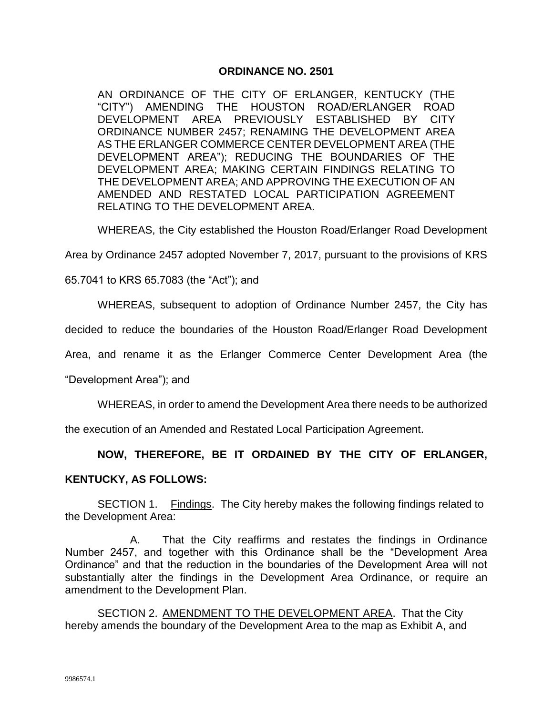#### **ORDINANCE NO. 2501**

AN ORDINANCE OF THE CITY OF ERLANGER, KENTUCKY (THE "CITY") AMENDING THE HOUSTON ROAD/ERLANGER ROAD DEVELOPMENT AREA PREVIOUSLY ESTABLISHED BY CITY ORDINANCE NUMBER 2457; RENAMING THE DEVELOPMENT AREA AS THE ERLANGER COMMERCE CENTER DEVELOPMENT AREA (THE DEVELOPMENT AREA"); REDUCING THE BOUNDARIES OF THE DEVELOPMENT AREA; MAKING CERTAIN FINDINGS RELATING TO THE DEVELOPMENT AREA; AND APPROVING THE EXECUTION OF AN AMENDED AND RESTATED LOCAL PARTICIPATION AGREEMENT RELATING TO THE DEVELOPMENT AREA.

WHEREAS, the City established the Houston Road/Erlanger Road Development

Area by Ordinance 2457 adopted November 7, 2017, pursuant to the provisions of KRS

65.7041 to KRS 65.7083 (the "Act"); and

WHEREAS, subsequent to adoption of Ordinance Number 2457, the City has

decided to reduce the boundaries of the Houston Road/Erlanger Road Development

Area, and rename it as the Erlanger Commerce Center Development Area (the

"Development Area"); and

WHEREAS, in order to amend the Development Area there needs to be authorized

the execution of an Amended and Restated Local Participation Agreement.

**NOW, THEREFORE, BE IT ORDAINED BY THE CITY OF ERLANGER,** 

#### **KENTUCKY, AS FOLLOWS:**

SECTION 1. Findings. The City hereby makes the following findings related to the Development Area:

A. That the City reaffirms and restates the findings in Ordinance Number 2457, and together with this Ordinance shall be the "Development Area Ordinance" and that the reduction in the boundaries of the Development Area will not substantially alter the findings in the Development Area Ordinance, or require an amendment to the Development Plan.

SECTION 2. AMENDMENT TO THE DEVELOPMENT AREA. That the City hereby amends the boundary of the Development Area to the map as Exhibit A, and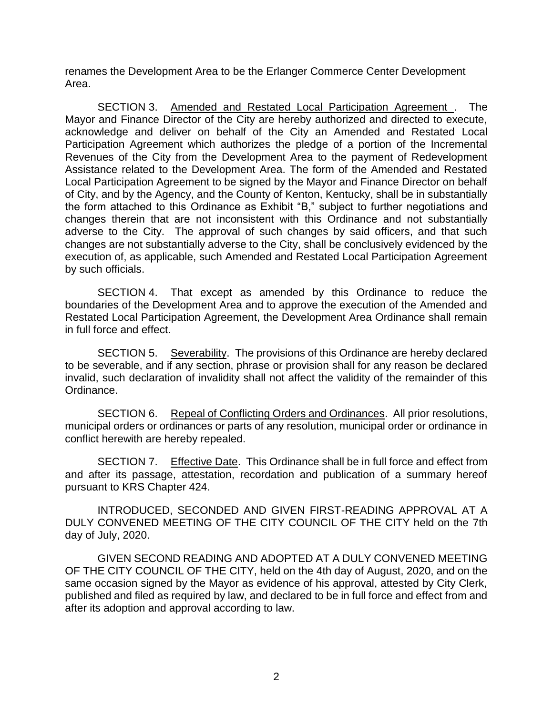renames the Development Area to be the Erlanger Commerce Center Development Area.

SECTION 3. Amended and Restated Local Participation Agreement . The Mayor and Finance Director of the City are hereby authorized and directed to execute, acknowledge and deliver on behalf of the City an Amended and Restated Local Participation Agreement which authorizes the pledge of a portion of the Incremental Revenues of the City from the Development Area to the payment of Redevelopment Assistance related to the Development Area. The form of the Amended and Restated Local Participation Agreement to be signed by the Mayor and Finance Director on behalf of City, and by the Agency, and the County of Kenton, Kentucky, shall be in substantially the form attached to this Ordinance as Exhibit "B," subject to further negotiations and changes therein that are not inconsistent with this Ordinance and not substantially adverse to the City. The approval of such changes by said officers, and that such changes are not substantially adverse to the City, shall be conclusively evidenced by the execution of, as applicable, such Amended and Restated Local Participation Agreement by such officials.

SECTION 4. That except as amended by this Ordinance to reduce the boundaries of the Development Area and to approve the execution of the Amended and Restated Local Participation Agreement, the Development Area Ordinance shall remain in full force and effect.

SECTION 5. Severability. The provisions of this Ordinance are hereby declared to be severable, and if any section, phrase or provision shall for any reason be declared invalid, such declaration of invalidity shall not affect the validity of the remainder of this Ordinance.

SECTION 6. Repeal of Conflicting Orders and Ordinances. All prior resolutions, municipal orders or ordinances or parts of any resolution, municipal order or ordinance in conflict herewith are hereby repealed.

SECTION 7. Effective Date. This Ordinance shall be in full force and effect from and after its passage, attestation, recordation and publication of a summary hereof pursuant to KRS Chapter 424.

INTRODUCED, SECONDED AND GIVEN FIRST-READING APPROVAL AT A DULY CONVENED MEETING OF THE CITY COUNCIL OF THE CITY held on the 7th day of July, 2020.

GIVEN SECOND READING AND ADOPTED AT A DULY CONVENED MEETING OF THE CITY COUNCIL OF THE CITY, held on the 4th day of August, 2020, and on the same occasion signed by the Mayor as evidence of his approval, attested by City Clerk, published and filed as required by law, and declared to be in full force and effect from and after its adoption and approval according to law.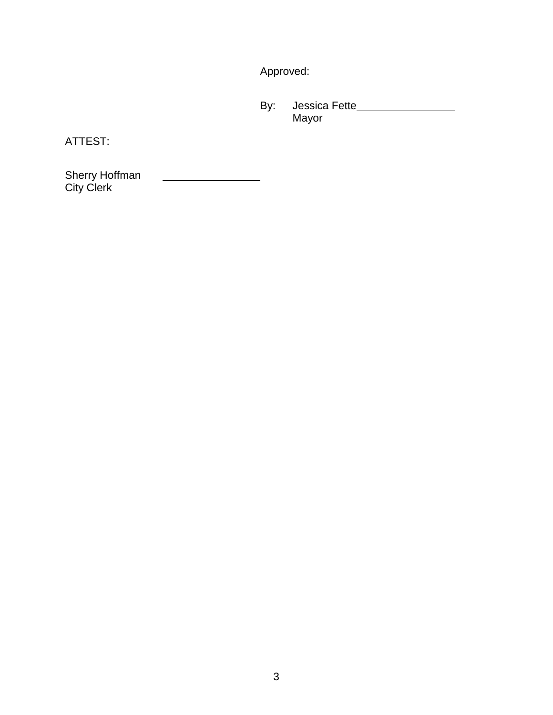Approved:

By: Jessica Fette Mayor

ATTEST:

 $\begin{array}{c} \begin{array}{c} \begin{array}{c} \begin{array}{c} \end{array} \\ \end{array} \end{array} \end{array} \end{array} \end{array} \end{array} \begin{array}{c} \begin{array}{c} \begin{array}{c} \end{array} \\ \end{array} \end{array} \begin{array}{c} \begin{array}{c} \end{array} \end{array} \end{array} \end{array} \begin{array}{c} \begin{array}{c} \begin{array}{c} \end{array} \\ \end{array} \end{array} \begin{array}{c} \begin{array}{c} \end{array} \end{array} \end{array} \begin{array}{c} \begin{array}{c} \end{array}$ Sherry Hoffman City Clerk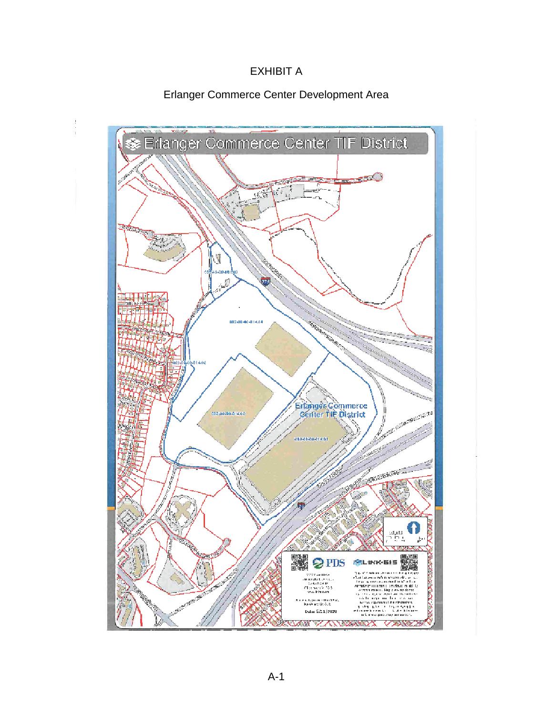# EXHIBIT A

### Erlanger Commerce Center Development Area

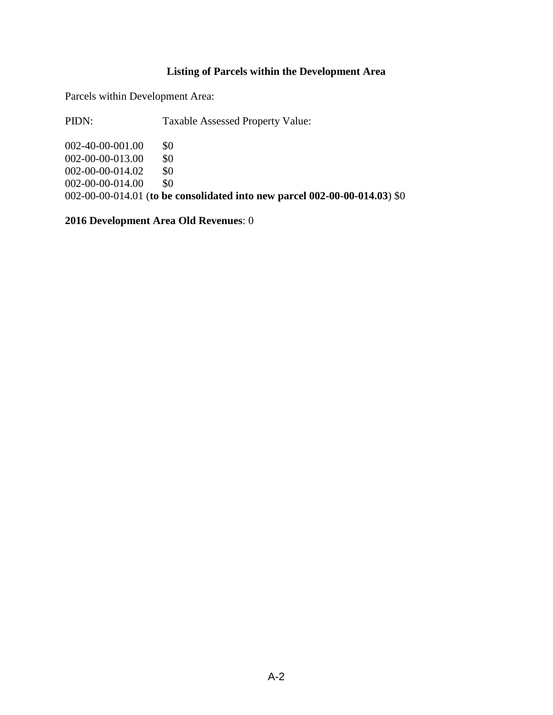## **Listing of Parcels within the Development Area**

Parcels within Development Area:

PIDN: Taxable Assessed Property Value:

002-40-00-001.00 \$0 002-00-00-013.00 \$0 002-00-00-014.02 \$0 002-00-00-014.00 \$0 002-00-00-014.01 (**to be consolidated into new parcel 002-00-00-014.03**) \$0

**2016 Development Area Old Revenues**: 0